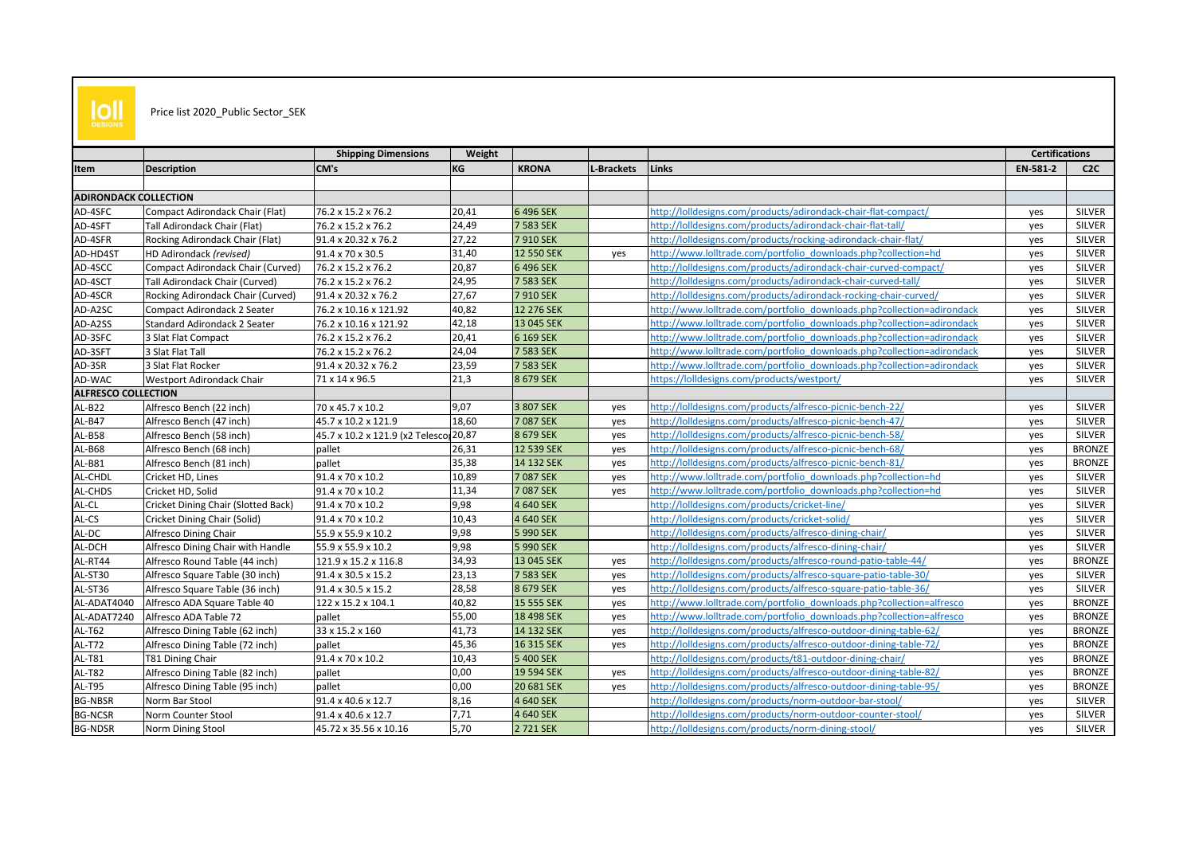

## Price list 2020\_Public Sector\_SEK

|                              |                                     | <b>Shipping Dimensions</b>            | Weight |              |            |                                                                        | <b>Certifications</b> |               |
|------------------------------|-------------------------------------|---------------------------------------|--------|--------------|------------|------------------------------------------------------------------------|-----------------------|---------------|
| Item                         | <b>Description</b>                  | CM's                                  | KG     | <b>KRONA</b> | L-Brackets | Links                                                                  | EN-581-2              | C2C           |
|                              |                                     |                                       |        |              |            |                                                                        |                       |               |
| <b>ADIRONDACK COLLECTION</b> |                                     |                                       |        |              |            |                                                                        |                       |               |
| AD-4SFC                      | Compact Adirondack Chair (Flat)     | 76.2 x 15.2 x 76.2                    | 20,41  | 6 496 SEK    |            | http://lolldesigns.com/products/adirondack-chair-flat-compact/         | ves                   | SILVER        |
| AD-4SFT                      | Tall Adirondack Chair (Flat)        | 76.2 x 15.2 x 76.2                    | 24,49  | 7 583 SEK    |            | http://lolldesigns.com/products/adirondack-chair-flat-tall/            | ves                   | SILVER        |
| AD-4SFR                      | Rocking Adirondack Chair (Flat)     | 91.4 x 20.32 x 76.2                   | 27,22  | 7 910 SEK    |            | http://lolldesigns.com/products/rocking-adirondack-chair-flat/         | ves                   | <b>SILVER</b> |
| AD-HD4ST                     | HD Adirondack (revised)             | 91.4 x 70 x 30.5                      | 31,40  | 12 550 SEK   | yes        | http://www.lolltrade.com/portfolio_downloads.php?collection=hd         | yes                   | SILVER        |
| AD-4SCC                      | Compact Adirondack Chair (Curved)   | 76.2 x 15.2 x 76.2                    | 20,87  | 6 496 SEK    |            | http://lolldesigns.com/products/adirondack-chair-curved-compact/       | ves                   | <b>SILVER</b> |
| AD-4SCT                      | Tall Adirondack Chair (Curved)      | 76.2 x 15.2 x 76.2                    | 24,95  | 7 583 SEK    |            | http://lolldesigns.com/products/adirondack-chair-curved-tall/          | yes                   | <b>SILVER</b> |
| AD-4SCR                      | Rocking Adirondack Chair (Curved)   | 91.4 x 20.32 x 76.2                   | 27,67  | 7 910 SEK    |            | http://lolldesigns.com/products/adirondack-rocking-chair-curved/       | yes                   | SILVER        |
| AD-A2SC                      | Compact Adirondack 2 Seater         | 76.2 x 10.16 x 121.92                 | 40,82  | 12 276 SEK   |            | http://www.lolltrade.com/portfolio_downloads.php?collection=adirondack | yes                   | SILVER        |
| AD-A2SS                      | Standard Adirondack 2 Seater        | 76.2 x 10.16 x 121.92                 | 42,18  | 13 045 SEK   |            | http://www.lolltrade.com/portfolio_downloads.php?collection=adirondack | yes                   | <b>SILVER</b> |
| AD-3SFC                      | 3 Slat Flat Compact                 | 76.2 x 15.2 x 76.2                    | 20,41  | 6 169 SEK    |            | http://www.lolltrade.com/portfolio_downloads.php?collection=adirondack | yes                   | <b>SILVER</b> |
| AD-3SFT                      | 3 Slat Flat Tall                    | 76.2 x 15.2 x 76.2                    | 24,04  | 7 583 SEK    |            | http://www.lolltrade.com/portfolio_downloads.php?collection=adirondack | yes                   | <b>SILVER</b> |
| AD-3SR                       | 3 Slat Flat Rocker                  | 91.4 x 20.32 x 76.2                   | 23,59  | 7 583 SEK    |            | http://www.lolltrade.com/portfolio_downloads.php?collection=adirondack | ves                   | SILVER        |
| AD-WAC                       | <b>Westport Adirondack Chair</b>    | 71 x 14 x 96.5                        | 21,3   | 8 679 SEK    |            | https://lolldesigns.com/products/westport/                             | ves                   | <b>SILVER</b> |
| <b>ALFRESCO COLLECTION</b>   |                                     |                                       |        |              |            |                                                                        |                       |               |
| <b>AL-B22</b>                | Alfresco Bench (22 inch)            | 70 x 45.7 x 10.2                      | 9,07   | 3 807 SEK    | yes        | http://lolldesigns.com/products/alfresco-picnic-bench-22/              | yes                   | <b>SILVER</b> |
| AL-B47                       | Alfresco Bench (47 inch)            | 45.7 x 10.2 x 121.9                   | 18,60  | 7 087 SEK    | yes        | http://lolldesigns.com/products/alfresco-picnic-bench-47/              | yes                   | SILVER        |
| <b>AL-B58</b>                | Alfresco Bench (58 inch)            | 45.7 x 10.2 x 121.9 (x2 Telesco 20,87 |        | 8 679 SEK    | yes        | http://lolldesigns.com/products/alfresco-picnic-bench-58/              | yes                   | <b>SILVER</b> |
| <b>AL-B68</b>                | Alfresco Bench (68 inch)            | pallet                                | 26,31  | 12 539 SEK   | yes        | http://lolldesigns.com/products/alfresco-picnic-bench-68/              | yes                   | <b>BRONZE</b> |
| <b>AL-B81</b>                | Alfresco Bench (81 inch)            | pallet                                | 35,38  | 14 132 SEK   | yes        | http://lolldesigns.com/products/alfresco-picnic-bench-81/              | yes                   | <b>BRONZE</b> |
| AL-CHDL                      | Cricket HD, Lines                   | 91.4 x 70 x 10.2                      | 10,89  | 7 087 SEK    | yes        | http://www.lolltrade.com/portfolio_downloads.php?collection=hd         | ves                   | SILVER        |
| AL-CHDS                      | Cricket HD, Solid                   | 91.4 x 70 x 10.2                      | 11,34  | 7 087 SEK    | yes        | http://www.lolltrade.com/portfolio_downloads.php?collection=hd         | yes                   | <b>SILVER</b> |
| AL-CL                        | Cricket Dining Chair (Slotted Back) | 91.4 x 70 x 10.2                      | 9,98   | 4 640 SEK    |            | http://lolldesigns.com/products/cricket-line/                          | yes                   | SILVER        |
| AL-CS                        | Cricket Dining Chair (Solid)        | 91.4 x 70 x 10.2                      | 10,43  | 4 640 SEK    |            | http://lolldesigns.com/products/cricket-solid/                         | yes                   | SILVER        |
| AL-DC                        | Alfresco Dining Chair               | 55.9 x 55.9 x 10.2                    | 9,98   | 5 990 SEK    |            | http://lolldesigns.com/products/alfresco-dining-chair/                 | yes                   | SILVER        |
| AL-DCH                       | Alfresco Dining Chair with Handle   | 55.9 x 55.9 x 10.2                    | 9,98   | 5 990 SEK    |            | http://lolldesigns.com/products/alfresco-dining-chair/                 | yes                   | SILVER        |
| AL-RT44                      | Alfresco Round Table (44 inch)      | 121.9 x 15.2 x 116.8                  | 34,93  | 13 045 SEK   | yes        | http://lolldesigns.com/products/alfresco-round-patio-table-44/         | yes                   | <b>BRONZE</b> |
| AL-ST30                      | Alfresco Square Table (30 inch)     | 91.4 x 30.5 x 15.2                    | 23,13  | 7 583 SEK    | yes        | http://lolldesigns.com/products/alfresco-square-patio-table-30/        | yes                   | SILVER        |
| AL-ST36                      | Alfresco Square Table (36 inch)     | 91.4 x 30.5 x 15.2                    | 28,58  | 8 679 SEK    | yes        | http://lolldesigns.com/products/alfresco-square-patio-table-36/        | yes                   | SILVER        |
| AL-ADAT4040                  | Alfresco ADA Square Table 40        | 122 x 15.2 x 104.1                    | 40,82  | 15 555 SEK   | yes        | http://www.lolltrade.com/portfolio downloads.php?collection=alfresco   | yes                   | <b>BRONZE</b> |
| AL-ADAT7240                  | Alfresco ADA Table 72               | pallet                                | 55,00  | 18 498 SEK   | yes        | http://www.lolltrade.com/portfolio_downloads.php?collection=alfresco   | yes                   | <b>BRONZE</b> |
| <b>AL-T62</b>                | Alfresco Dining Table (62 inch)     | 33 x 15.2 x 160                       | 41,73  | 14 132 SEK   | ves        | http://lolldesigns.com/products/alfresco-outdoor-dining-table-62/      | ves                   | <b>BRONZE</b> |
| <b>AL-T72</b>                | Alfresco Dining Table (72 inch)     | pallet                                | 45,36  | 16 315 SEK   | ves        | http://lolldesigns.com/products/alfresco-outdoor-dining-table-72/      | yes                   | <b>BRONZE</b> |
| AL-T81                       | T81 Dining Chair                    | 91.4 x 70 x 10.2                      | 10,43  | 5 400 SEK    |            | http://lolldesigns.com/products/t81-outdoor-dining-chair/              | yes                   | <b>BRONZE</b> |
| <b>AL-T82</b>                | Alfresco Dining Table (82 inch)     | pallet                                | 0,00   | 19 594 SEK   | yes        | http://lolldesigns.com/products/alfresco-outdoor-dining-table-82/      | yes                   | <b>BRONZE</b> |
| <b>AL-T95</b>                | Alfresco Dining Table (95 inch)     | pallet                                | 0,00   | 20 681 SEK   | yes        | http://lolldesigns.com/products/alfresco-outdoor-dining-table-95/      | yes                   | <b>BRONZE</b> |
| <b>BG-NBSR</b>               | Norm Bar Stool                      | 91.4 x 40.6 x 12.7                    | 8,16   | 4 640 SEK    |            | http://lolldesigns.com/products/norm-outdoor-bar-stool/                | yes                   | SILVER        |
| <b>BG-NCSR</b>               | Norm Counter Stool                  | 91.4 x 40.6 x 12.7                    | 7,71   | 4 640 SEK    |            | http://lolldesigns.com/products/norm-outdoor-counter-stool/            | yes                   | SILVER        |
| <b>BG-NDSR</b>               | <b>Norm Dining Stool</b>            | 45.72 x 35.56 x 10.16                 | 5,70   | 2 721 SEK    |            | http://lolldesigns.com/products/norm-dining-stool/                     | yes                   | SILVER        |